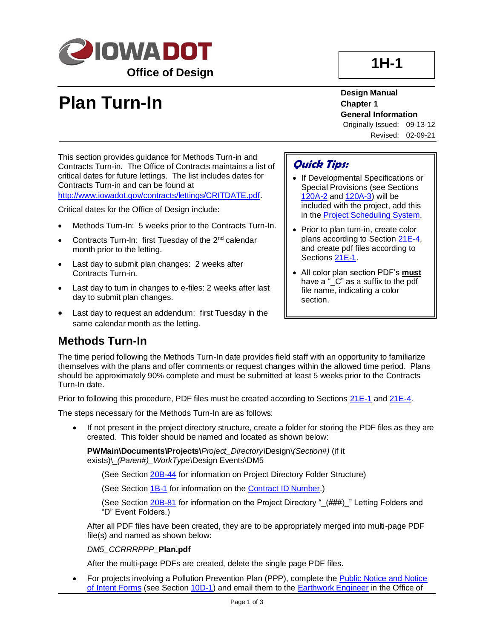

# **1H-1**

# **Plan Turn-In**

**Design Manual Chapter 1 General Information**

Originally Issued: 09-13-12 Revised: 02-09-21

This section provides guidance for Methods Turn-in and Contracts Turn-in. The Office of Contracts maintains a list of critical dates for future lettings. The list includes dates for Contracts Turn-in and can be found at

[http://www.iowadot.gov/contracts/lettings/CRITDATE.pdf](../../contracts/lettings/CRITDATE.pdf).

Critical dates for the Office of Design include:

- Methods Turn-In: 5 weeks prior to the Contracts Turn-In.
- Contracts Turn-In: first Tuesday of the 2<sup>nd</sup> calendar month prior to the letting.
- Last day to submit plan changes: 2 weeks after Contracts Turn-in.
- Last day to turn in changes to e-files: 2 weeks after last day to submit plan changes.
- Last day to request an addendum: first Tuesday in the same calendar month as the letting.

### **Quick Tips:**

- If Developmental Specifications or Special Provisions (see Sections [120A-2](120a-02.pdf) and [120A-3\)](120a-03.pdf) will be included with the project, add this in th[e Project Scheduling System.](01B-01/PSS.pdf)
- Prior to plan turn-in, create color plans according to Section [21E-4,](21E-04.pdf) and create pdf files according to Section[s 21E-1.](21E-01.pdf)
- All color plan section PDF's **must** have a "\_C" as a suffix to the pdf file name, indicating a color section.

## **Methods Turn-In**

The time period following the Methods Turn-In date provides field staff with an opportunity to familiarize themselves with the plans and offer comments or request changes within the allowed time period. Plans should be approximately 90% complete and must be submitted at least 5 weeks prior to the Contracts Turn-In date.

Prior to following this procedure, PDF files must be created according to Sections [21E-1](21E-01.pdf) and [21E-4.](21E-04.pdf)

The steps necessary for the Methods Turn-In are as follows:

If not present in the project directory structure, create a folder for storing the PDF files as they are created. This folder should be named and located as shown below:

**PWMain\Documents\Projects\***Project\_Directory\*Design\*(Section#)* (if it exists)\\_*(Paren#)\_WorkType\*Design Events\DM5

(See Section [20B-44](20B-44.pdf) for information on Project Directory Folder Structure)

(See Section [1B-1](01b-01.pdf) for information on the [Contract ID Number.](01b-01/ContractID.pdf))

(See Section [20B-81](20B-81.pdf) for information on the Project Directory "\_(###)\_" Letting Folders and "D" Event Folders.)

After all PDF files have been created, they are to be appropriately merged into multi-page PDF file(s) and named as shown below:

#### *DM5\_CCRRRPPP***\_Plan.pdf**

After the multi-page PDFs are created, delete the single page PDF files.

• For projects involving a Pollution Prevention Plan (PPP), complete the [Public Notice and Notice](http://www.iowadnr.gov/portals/idnr/uploads/forms/5421415.doc)  [of Intent Forms](http://www.iowadnr.gov/portals/idnr/uploads/forms/5421415.doc) (see Section [10D-1\)](10d-01.pdf) and email them to th[e Earthwork Engineer](01b-02/EarthworkEngineer.pdf) in the Office of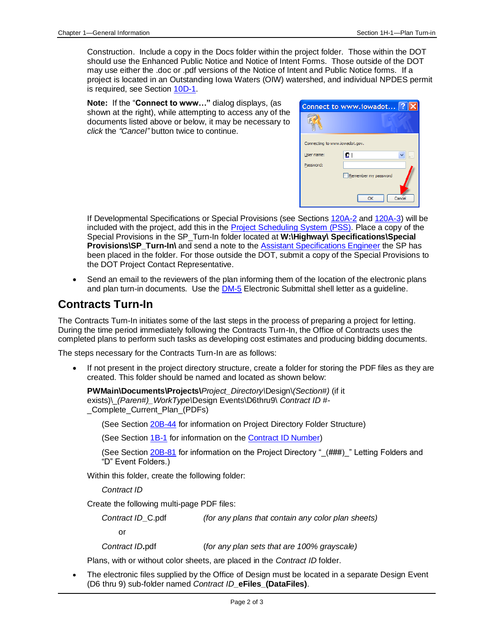Construction. Include a copy in the Docs folder within the project folder. Those within the DOT should use the Enhanced Public Notice and Notice of Intent Forms. Those outside of the DOT may use either the .doc or .pdf versions of the Notice of Intent and Public Notice forms. If a project is located in an Outstanding Iowa Waters (OIW) watershed, and individual NPDES permit is required, see Section [10D-1.](10d-01.pdf)

**Note:** If the "**Connect to www…"** dialog displays, (as shown at the right), while attempting to access any of the documents listed above or below, it may be necessary to *click* the *"Cancel"* button twice to continue.

| Connect to www.iowadot ?       |                      |
|--------------------------------|----------------------|
|                                |                      |
| Connecting to www.iowadot.gov. |                      |
| User name:                     | ΩI<br>               |
| Password:                      |                      |
|                                | Remember my password |
| Cancel<br>OK                   |                      |

If Developmental Specifications or Special Provisions (see Sections [120A-2](120a-02.pdf) and [120A-3\)](120a-03.pdf) will be included with the project, add this in the [Project Scheduling System](01B-01/PSS.pdf) (PSS). Place a copy of the Special Provisions in the SP\_Turn-In folder located at **W:\Highway\ Specifications\Special Provisions\SP\_Turn-In\** and send a note to the [Assistant Specifications Engineer](01B-02/AssistantSpecificationsEngineer.pdf) the SP has been placed in the folder. For those outside the DOT, submit a copy of the Special Provisions to the DOT Project Contact Representative.

• Send an email to the reviewers of the plan informing them of the location of the electronic plans and plan turn-in documents. Use the **DM-5** Electronic Submittal shell letter as a guideline.

## **Contracts Turn-In**

The Contracts Tum-In initiates some of the last steps in the process of preparing a project for letting. During the time period immediately following the Contracts Turn-In, the Office of Contracts uses the completed plans to perform such tasks as developing cost estimates and producing bidding documents.

The steps necessary for the Contracts Turn-In are as follows:

If not present in the project directory structure, create a folder for storing the PDF files as they are created. This folder should be named and located as shown below:

**PWMain\Documents\Projects\***Project\_Directory\*Design\*(Section#)* (if it exists)\\_*(Paren#)\_WorkType\*Design Events\D6thru9\ *Contract ID #-* Complete Current Plan (PDFs)

(See Section [20B-44](20B-44.pdf) for information on Project Directory Folder Structure)

(See Section [1B-1](01b-01.pdf) for information on the [Contract ID Number\)](01b-01/ContractID.pdf)

(See Section [20B-81](20B-81.pdf) for information on the Project Directory "\_(###)\_" Letting Folders and "D" Event Folders.)

Within this folder, create the following folder:

*Contract ID*

Create the following multi-page PDF files:

*Contract ID***\_**C.pdf *(for any plans that contain any color plan sheets)*

or

*Contract ID***.**pdf (*for any plan sets that are 100% grayscale)*

Plans, with or without color sheets, are placed in the *Contract ID* folder.

The electronic files supplied by the Office of Design must be located in a separate Design Event (D6 thru 9) sub-folder named *Contract ID***\_eFiles\_(DataFiles)**.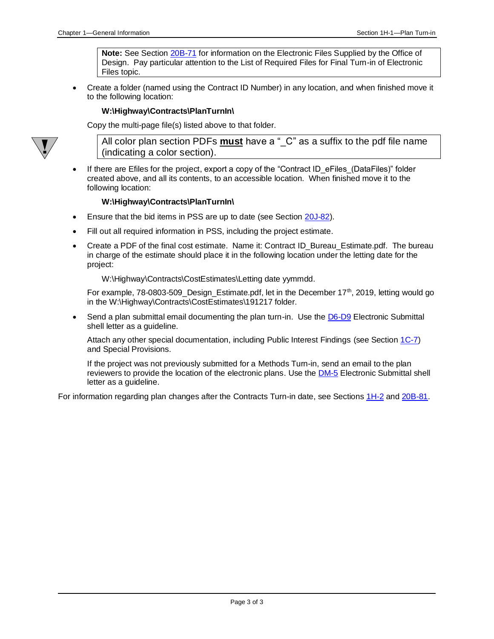**Note:** See Section [20B-71](20B-71.pdf) for information on the Electronic Files Supplied by the Office of Design. Pay particular attention to the List of Required Files for Final Turn-in of Electronic Files topic.

• Create a folder (named using the Contract ID Number) in any location, and when finished move it to the following location:

#### **W:\Highway\Contracts\PlanTurnIn\**

Copy the multi-page file(s) listed above to that folder.



All color plan section PDFs **must** have a " C" as a suffix to the pdf file name (indicating a color section).

If there are Efiles for the project, export a copy of the "Contract ID eFiles (DataFiles)" folder created above, and all its contents, to an accessible location. When finished move it to the following location:

#### **W:\Highway\Contracts\PlanTurnIn\**

- Ensure that the bid items in PSS are up to date (see Section [20J-82\)](20J-82.pdf).
- Fill out all required information in PSS, including the project estimate.
- Create a PDF of the final cost estimate. Name it: Contract ID\_Bureau\_Estimate.pdf. The bureau in charge of the estimate should place it in the following location under the letting date for the project:

W:\Highway\Contracts\CostEstimates\Letting date yymmdd.

For example, 78-0803-509\_Design\_Estimate.pdf, let in the December 17<sup>th</sup>, 2019, letting would go in the W:\Highway\Contracts\CostEstimates\191217 folder.

Send a plan submittal email documenting the plan turn-in. Use the [D6-D9](../ShellLetters/DesignEvents/D6-D9.docx) Electronic Submittal shell letter as a guideline.

Attach any other special documentation, including Public Interest Findings (see Section [1C-7\)](01c-07.pdf) and Special Provisions.

If the project was not previously submitted for a Methods Turn-in, send an email to the plan reviewers to provide the location of the electronic plans. Use the **DM-5** Electronic Submittal shell letter as a guideline.

For information regarding plan changes after the Contracts Turn-in date, see Sections [1H-2](01h-02.pdf) and [20B-81.](20B-81.pdf)